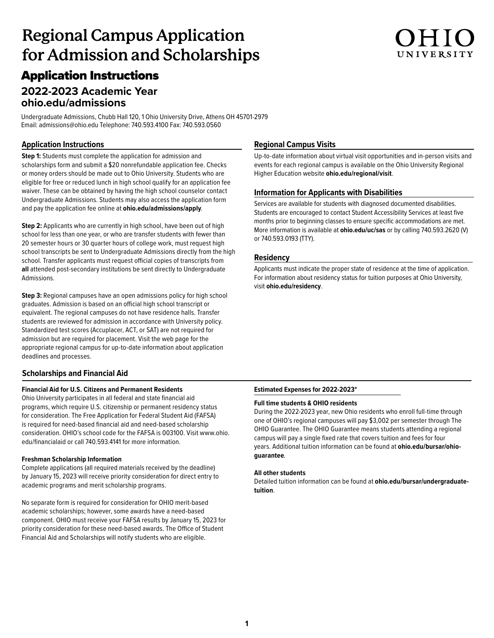## **Regional Campus Application for Admission and Scholarships**

## Application Instructions

## **2022-2023 Academic Year [ohio.edu/admissions](http://ohio.edu/admissions)**

Undergraduate Admissions, Chubb Hall 120, 1 Ohio University Drive, Athens OH 45701-2979 Email: admissions@ohio.edu Telephone: 740.593.4100 Fax: 740.593.0560

### **Application Instructions**

**Step 1:** Students must complete the application for admission and scholarships form and submit a \$20 nonrefundable application fee. Checks or money orders should be made out to Ohio University. Students who are eligible for free or reduced lunch in high school qualify for an application fee waiver. These can be obtained by having the high school counselor contact Undergraduate Admissions. Students may also access the application form and pay the application fee online at **<ohio.edu/admissions/apply>**.

**Step 2:** Applicants who are currently in high school, have been out of high school for less than one year, or who are transfer students with fewer than 20 semester hours or 30 quarter hours of college work, must request high school transcripts be sent to Undergraduate Admissions directly from the high school. Transfer applicants must request official copies of transcripts from **all** attended post-secondary institutions be sent directly to Undergraduate Admissions.

**Step 3:** Regional campuses have an open admissions policy for high school graduates. Admission is based on an official high school transcript or equivalent. The regional campuses do not have residence halls. Transfer students are reviewed for admission in accordance with University policy. Standardized test scores (Accuplacer, ACT, or SAT) are not required for admission but are required for placement. Visit the web page for the appropriate regional campus for up-to-date information about application deadlines and processes.

### **Scholarships and Financial Aid**

### **Financial Aid for U.S. Citizens and Permanent Residents**

Ohio University participates in all federal and state financial aid programs, which require U.S. citizenship or permanent residency status for consideration. The Free Application for Federal Student Aid (FAFSA) is required for need-based financial aid and need-based scholarship consideration. OHIO's school code for the FAFSA is 003100. Visit www.ohio. edu/financialaid or call 740.593.4141 for more information.

### **Freshman Scholarship Information**

Complete applications (all required materials received by the deadline) by January 15, 2023 will receive priority consideration for direct entry to academic programs and merit scholarship programs.

No separate form is required for consideration for OHIO merit-based academic scholarships; however, some awards have a need-based component. OHIO must receive your FAFSA results by January 15, 2023 for priority consideration for these need-based awards. The Office of Student Financial Aid and Scholarships will notify students who are eligible.

### **Regional Campus Visits**

Up-to-date information about virtual visit opportunities and in-person visits and events for each regional campus is available on the Ohio University Regional Higher Education website **<ohio.edu/regional/visit>**.

UNIVERSITY

### **Information for Applicants with Disabilities**

Services are available for students with diagnosed documented disabilities. Students are encouraged to contact Student Accessibility Services at least five months prior to beginning classes to ensure specific accommodations are met. More information is available at **<ohio.edu/uc/sas>** or by calling 740.593.2620 (V) or 740.593.0193 (TTY).

### **Residency**

Applicants must indicate the proper state of residence at the time of application. For information about residency status for tuition purposes at Ohio University, visit **<ohio.edu/residency>**.

### **Estimated Expenses for 2022-2023\***

### **Full time students & OHIO residents**

During the 2022-2023 year, new Ohio residents who enroll full-time through one of OHIO's regional campuses will pay \$3,002 per semester through The OHIO Guarantee. The OHIO Guarantee means students attending a regional campus will pay a single fixed rate that covers tuition and fees for four [years. Additional tuition information can be found at](ohio.edu/bursar/ohioguarantee) **ohio.edu/bursar/ohioguarantee**.

### **All other students**

[Detailed tuition information can be found at](ohio.edu/bursar/undergraduatetuition) **ohio.edu/bursar/undergraduatetuition**.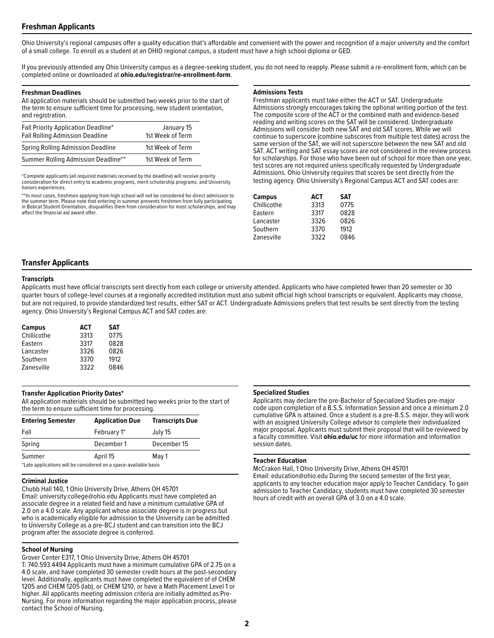### **Freshman Applicants**

Ohio University's regional campuses offer a quality education that's affordable and convenient with the power and recognition of a major university and the comfort of a small college. To enroll as a student at an OHIO regional campus, a student must have a high school diploma or GED.

If you previously attended any Ohio University campus as a degree-seeking student, you do not need to reapply. Please submit a re-enrollment form, which can be completed online or downloaded at **<ohio.edu/registrar/re-enrollment-form>**.

### **Freshman Deadlines**

All application materials should be submitted two weeks prior to the start of the term to ensure sufficient time for processing, new student orientation, and registration.

| Fall Priority Application Deadline*<br><b>Fall Rolling Admission Deadline</b> | January 15<br>1st Week of Term |
|-------------------------------------------------------------------------------|--------------------------------|
| Spring Rolling Admission Deadline                                             | 1st Week of Term               |
| Summer Rolling Admission Deadline**                                           | 1st Week of Term               |

\*Complete applicants (all required materials received by the deadline) will receive priority consideration for direct entry to academic programs, merit scholarship programs, and University honors experiences.

\*\*In most cases, freshmen applying from high school will not be considered for direct admission to the summer term. Please note that entering in summer prevents freshmen from fully participating in Bobcat Student Orientation, disqualifies them from consideration for most scholarships, and may affect the financial aid award offer.

### **Admissions Tests**

Freshman applicants must take either the ACT or SAT. Undergraduate Admissions strongly encourages taking the optional writing portion of the test. The composite score of the ACT or the combined math and evidence-based reading and writing scores on the SAT will be considered. Undergraduate Admissions will consider both new SAT and old SAT scores. While we will continue to superscore (combine subscores from multiple test dates) across the same version of the SAT, we will not superscore between the new SAT and old SAT. ACT writing and SAT essay scores are not considered in the review process for scholarships. For those who have been out of school for more than one year, test scores are not required unless specifically requested by Undergraduate Admissions. Ohio University requires that scores be sent directly from the testing agency. Ohio University's Regional Campus ACT and SAT codes are:

| <b>Campus</b> | <b>ACT</b> | <b>SAT</b> |
|---------------|------------|------------|
| Chillicothe   | 3313       | 0775       |
| Eastern       | 3317       | 0828       |
| Lancaster     | 3326       | 0826       |
| Southern      | 3370       | 1912       |
| Zanesville    | 3322       | 0846       |

### **Transfer Applicants**

### **Transcripts**

Applicants must have official transcripts sent directly from each college or university attended. Applicants who have completed fewer than 20 semester or 30 quarter hours of college-level courses at a regionally accredited institution must also submit official high school transcripts or equivalent. Applicants may choose, but are not required, to provide standardized test results, either SAT or ACT. Undergraduate Admissions prefers that test results be sent directly from the testing agency. Ohio University's Regional Campus ACT and SAT codes are:

| <b>Campus</b> | <b>ACT</b> | <b>SAT</b> |
|---------------|------------|------------|
| Chillicothe   | 3313       | 0775       |
| Eastern       | 3317       | 0828       |
| Lancaster     | 3326       | 0826       |
| Southern      | 3370       | 1912       |
| Zanesville    | 3322       | 0846       |

### **Transfer Application Priority Dates\***

All application materials should be submitted two weeks prior to the start of the term to ensure sufficient time for processing.

| <b>Entering Semester</b>                                         | <b>Application Due</b> | <b>Transcripts Due</b> |
|------------------------------------------------------------------|------------------------|------------------------|
| Fall                                                             | February 1*            | July 15                |
| Spring                                                           | December 1             | December 15            |
| Summer                                                           | April 15               | May 1                  |
| *Late applications will be considered on a space-available basis |                        |                        |

### **Criminal Justice**

Chubb Hall 140, 1 Ohio University Drive, Athens OH 45701 Email: university.college@ohio.edu Applicants must have completed an associate degree in a related field and have a minimum cumulative GPA of 2.0 on a 4.0 scale. Any applicant whose associate degree is in progress but who is academically eligible for admission to the University can be admitted to University College as a pre-BCJ student and can transition into the BCJ program after the associate degree is conferred.

### **School of Nursing**

Grover Center E317, 1 Ohio University Drive, Athens OH 45701

T: 740.593.4494 Applicants must have a minimum cumulative GPA of 2.75 on a 4.0 scale, and have completed 30 semester credit hours at the post-secondary level. Additionally, applicants must have completed the equivalent of of CHEM 1205 and CHEM 1205 (lab), or CHEM 1210, or have a Math Placement Level 1 or higher. All applicants meeting admission criteria are initially admitted as Pre-Nursing. For more information regarding the major application process, please contact the School of Nursing.

### **Specialized Studies**

Applicants may declare the pre-Bachelor of Specialized Studies pre-major code upon completion of a B.S.S. Information Session and once a minimum 2.0 cumulative GPA is attained. Once a student is a pre-B.S.S. major, they will work with an assigned University College advisor to complete their individualized major proposal. Applicants must submit their proposal that will be reviewed by a faculty committee. Visit **ohio.edu/uc** for more information and information session dates.

### **Teacher Education**

McCraken Hall, 1 Ohio University Drive, Athens OH 45701 Email: education@ohio.edu During the second semester of the first year, applicants to any teacher education major apply to Teacher Candidacy. To gain admission to Teacher Candidacy, students must have completed 30 semester hours of credit with an overall GPA of 3.0 on a 4.0 scale.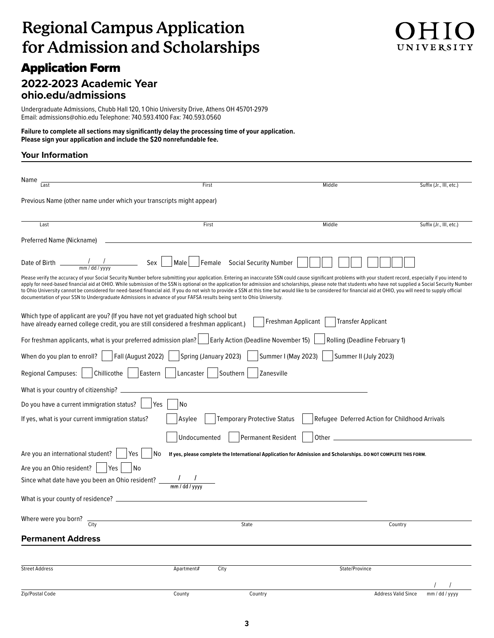## **Regional Campus Application for Admission and Scholarships**

## Application Form

### **2022-2023 Academic Year <ohio.edu/admissions>**

Undergraduate Admissions, Chubb Hall 120, 1 Ohio University Drive, Athens OH 45701-2979 Email: admissions@ohio.edu Telephone: 740.593.4100 Fax: 740.593.0560

**Failure to complete all sections may significantly delay the processing time of your application. Please sign your application and include the \$20 nonrefundable fee.** 

### **Your Information**

| Name<br>Last                                                                                                                                                                                                                                                                                                                                                                                                                                                                                                                                                                                                                                                                                                                                                                      | First                 |                                                                                                                  | Middle                                        | Suffix (Jr., III, etc.)                        |
|-----------------------------------------------------------------------------------------------------------------------------------------------------------------------------------------------------------------------------------------------------------------------------------------------------------------------------------------------------------------------------------------------------------------------------------------------------------------------------------------------------------------------------------------------------------------------------------------------------------------------------------------------------------------------------------------------------------------------------------------------------------------------------------|-----------------------|------------------------------------------------------------------------------------------------------------------|-----------------------------------------------|------------------------------------------------|
| Previous Name (other name under which your transcripts might appear)                                                                                                                                                                                                                                                                                                                                                                                                                                                                                                                                                                                                                                                                                                              |                       |                                                                                                                  |                                               |                                                |
|                                                                                                                                                                                                                                                                                                                                                                                                                                                                                                                                                                                                                                                                                                                                                                                   |                       |                                                                                                                  |                                               |                                                |
| Last                                                                                                                                                                                                                                                                                                                                                                                                                                                                                                                                                                                                                                                                                                                                                                              | First                 |                                                                                                                  | Middle                                        | Suffix (Jr., III, etc.)                        |
| Preferred Name (Nickname)                                                                                                                                                                                                                                                                                                                                                                                                                                                                                                                                                                                                                                                                                                                                                         |                       |                                                                                                                  |                                               |                                                |
|                                                                                                                                                                                                                                                                                                                                                                                                                                                                                                                                                                                                                                                                                                                                                                                   |                       |                                                                                                                  |                                               |                                                |
| Please verify the accuracy of your Social Security Number before submitting your application. Entering an inaccurate SSN could cause significant problems with your student record, especially if you intend to<br>apply for need-based financial aid at OHIO. While submission of the SSN is optional on the application for admission and scholarships, please note that students who have not supplied a Social Security Number<br>to Ohio University cannot be considered for need-based financial aid. If you do not wish to provide a SSN at this time but would like to be considered for financial aid at OHIO, you will need to supply official<br>documentation of your SSN to Undergraduate Admissions in advance of your FAFSA results being sent to Ohio University. |                       |                                                                                                                  |                                               |                                                |
| Which type of applicant are you? (If you have not yet graduated high school but<br>have already earned college credit, you are still considered a freshman applicant.)                                                                                                                                                                                                                                                                                                                                                                                                                                                                                                                                                                                                            |                       | Freshman Applicant                                                                                               | <b>Transfer Applicant</b>                     |                                                |
| For freshman applicants, what is your preferred admission plan?     Early Action (Deadline November 15)                                                                                                                                                                                                                                                                                                                                                                                                                                                                                                                                                                                                                                                                           |                       |                                                                                                                  | Rolling (Deadline February 1)                 |                                                |
| Fall (August 2022)<br>When do you plan to enroll? $ $                                                                                                                                                                                                                                                                                                                                                                                                                                                                                                                                                                                                                                                                                                                             | Spring (January 2023) |                                                                                                                  | Summer I (May 2023)     Summer II (July 2023) |                                                |
| Chillicothe<br><b>Regional Campuses:</b>                                                                                                                                                                                                                                                                                                                                                                                                                                                                                                                                                                                                                                                                                                                                          | Eastern<br>Lancaster  | Southern<br>Zanesville                                                                                           |                                               |                                                |
| What is your country of citizenship? ______                                                                                                                                                                                                                                                                                                                                                                                                                                                                                                                                                                                                                                                                                                                                       |                       |                                                                                                                  |                                               |                                                |
| Do you have a current immigration status?                                                                                                                                                                                                                                                                                                                                                                                                                                                                                                                                                                                                                                                                                                                                         | No<br>Yes             |                                                                                                                  |                                               |                                                |
| If yes, what is your current immigration status?                                                                                                                                                                                                                                                                                                                                                                                                                                                                                                                                                                                                                                                                                                                                  | Asylee                | <b>Temporary Protective Status</b>                                                                               |                                               | Refugee Deferred Action for Childhood Arrivals |
|                                                                                                                                                                                                                                                                                                                                                                                                                                                                                                                                                                                                                                                                                                                                                                                   | Undocumented          | Permanent Resident                                                                                               |                                               |                                                |
| Are you an international student?<br>Yes                                                                                                                                                                                                                                                                                                                                                                                                                                                                                                                                                                                                                                                                                                                                          | No                    | If yes, please complete the International Application for Admission and Scholarships. DO NOT COMPLETE THIS FORM. |                                               |                                                |
| Are you an Ohio resident?<br>Yes<br>No                                                                                                                                                                                                                                                                                                                                                                                                                                                                                                                                                                                                                                                                                                                                            |                       |                                                                                                                  |                                               |                                                |
|                                                                                                                                                                                                                                                                                                                                                                                                                                                                                                                                                                                                                                                                                                                                                                                   |                       |                                                                                                                  |                                               |                                                |
|                                                                                                                                                                                                                                                                                                                                                                                                                                                                                                                                                                                                                                                                                                                                                                                   |                       |                                                                                                                  |                                               |                                                |
| Where were you born? $\frac{1}{\text{City}}$                                                                                                                                                                                                                                                                                                                                                                                                                                                                                                                                                                                                                                                                                                                                      |                       | State                                                                                                            |                                               | Country                                        |
| <b>Permanent Address</b>                                                                                                                                                                                                                                                                                                                                                                                                                                                                                                                                                                                                                                                                                                                                                          |                       |                                                                                                                  |                                               |                                                |
|                                                                                                                                                                                                                                                                                                                                                                                                                                                                                                                                                                                                                                                                                                                                                                                   |                       |                                                                                                                  |                                               |                                                |
| <b>Street Address</b>                                                                                                                                                                                                                                                                                                                                                                                                                                                                                                                                                                                                                                                                                                                                                             | Apartment#            | City                                                                                                             | State/Province                                |                                                |
|                                                                                                                                                                                                                                                                                                                                                                                                                                                                                                                                                                                                                                                                                                                                                                                   |                       |                                                                                                                  |                                               |                                                |
| Zip/Postal Code                                                                                                                                                                                                                                                                                                                                                                                                                                                                                                                                                                                                                                                                                                                                                                   | County                | Country                                                                                                          |                                               | <b>Address Valid Since</b><br>$mm$ / dd / yyyy |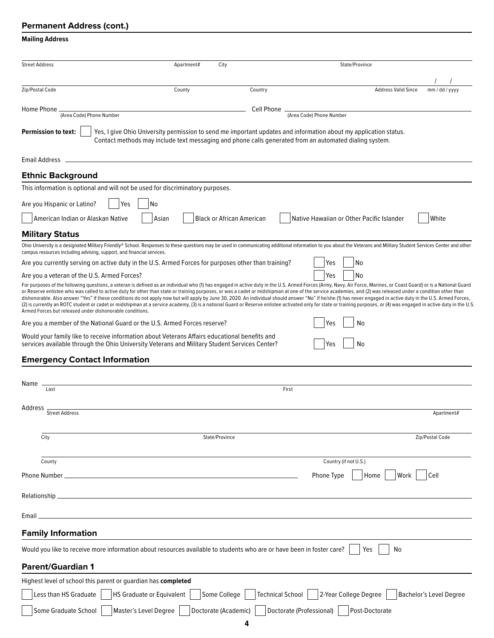### **Permanent Address (cont.)**

### **Mailing Address**

| <b>Street Address</b>                                                                                                                                                                          | City<br>Apartment#                            |            | State/Province                                                                                                                                                                                                                                                                                                                                                                                                                                                                                                                                                                                                                                                                                                                                                                                                                                                                 |                                |
|------------------------------------------------------------------------------------------------------------------------------------------------------------------------------------------------|-----------------------------------------------|------------|--------------------------------------------------------------------------------------------------------------------------------------------------------------------------------------------------------------------------------------------------------------------------------------------------------------------------------------------------------------------------------------------------------------------------------------------------------------------------------------------------------------------------------------------------------------------------------------------------------------------------------------------------------------------------------------------------------------------------------------------------------------------------------------------------------------------------------------------------------------------------------|--------------------------------|
|                                                                                                                                                                                                |                                               |            |                                                                                                                                                                                                                                                                                                                                                                                                                                                                                                                                                                                                                                                                                                                                                                                                                                                                                |                                |
| Zip/Postal Code                                                                                                                                                                                | County                                        | Country    | <b>Address Valid Since</b>                                                                                                                                                                                                                                                                                                                                                                                                                                                                                                                                                                                                                                                                                                                                                                                                                                                     | mm / dd / yyyy                 |
| Home Phone                                                                                                                                                                                     |                                               | Cell Phone |                                                                                                                                                                                                                                                                                                                                                                                                                                                                                                                                                                                                                                                                                                                                                                                                                                                                                |                                |
| (Area Code) Phone Number                                                                                                                                                                       |                                               |            | (Area Code) Phone Number                                                                                                                                                                                                                                                                                                                                                                                                                                                                                                                                                                                                                                                                                                                                                                                                                                                       |                                |
| <b>Permission to text:</b>                                                                                                                                                                     |                                               |            | Yes, I give Ohio University permission to send me important updates and information about my application status.<br>Contact methods may include text messaging and phone calls generated from an automated dialing system.                                                                                                                                                                                                                                                                                                                                                                                                                                                                                                                                                                                                                                                     |                                |
| Email Address                                                                                                                                                                                  |                                               |            |                                                                                                                                                                                                                                                                                                                                                                                                                                                                                                                                                                                                                                                                                                                                                                                                                                                                                |                                |
| <b>Ethnic Background</b>                                                                                                                                                                       |                                               |            |                                                                                                                                                                                                                                                                                                                                                                                                                                                                                                                                                                                                                                                                                                                                                                                                                                                                                |                                |
| This information is optional and will not be used for discriminatory purposes.                                                                                                                 |                                               |            |                                                                                                                                                                                                                                                                                                                                                                                                                                                                                                                                                                                                                                                                                                                                                                                                                                                                                |                                |
| Are you Hispanic or Latino?<br>Yes                                                                                                                                                             | No                                            |            |                                                                                                                                                                                                                                                                                                                                                                                                                                                                                                                                                                                                                                                                                                                                                                                                                                                                                |                                |
| American Indian or Alaskan Native                                                                                                                                                              | <b>Black or African American</b><br>Asian     |            | Native Hawaiian or Other Pacific Islander                                                                                                                                                                                                                                                                                                                                                                                                                                                                                                                                                                                                                                                                                                                                                                                                                                      | White                          |
| <b>Military Status</b>                                                                                                                                                                         |                                               |            |                                                                                                                                                                                                                                                                                                                                                                                                                                                                                                                                                                                                                                                                                                                                                                                                                                                                                |                                |
| campus resources including advising, support, and financial services.                                                                                                                          |                                               |            | Ohio University is a designated Military Friendly® School. Responses to these questions may be used in communicating additional information to you about the Veterans and Military Student Services Center and other                                                                                                                                                                                                                                                                                                                                                                                                                                                                                                                                                                                                                                                           |                                |
| Are you currently serving on active duty in the U.S. Armed Forces for purposes other than training?                                                                                            |                                               |            | Yes<br>No                                                                                                                                                                                                                                                                                                                                                                                                                                                                                                                                                                                                                                                                                                                                                                                                                                                                      |                                |
| Are you a veteran of the U.S. Armed Forces?                                                                                                                                                    |                                               |            | Yes<br>No                                                                                                                                                                                                                                                                                                                                                                                                                                                                                                                                                                                                                                                                                                                                                                                                                                                                      |                                |
| Armed Forces but released under dishonorable conditions.                                                                                                                                       |                                               |            | For purposes of the following questions, a veteran is defined as an individual who (1) has engaged in active duty in the U.S. Armed Forces (Army, Navy, Air Force, Marines, or Coast Guard) or is a National Guard<br>or Reserve enlistee who was called to active duty for other than state or training purposes, or was a cadet or midshipman at one of the service academies, and (2) was released under a condition other than<br>dishonorable. Also answer "Yes" if these conditions do not apply now but will apply by June 30, 2020. An individual should answer "No" if he/she (1) has never engaged in active duty in the U.S. Armed Forces,<br>(2) is currently an ROTC student or cadet or midshipman at a service academy, (3) is a national Guard or Reserve enlistee activated only for state or training purposes, or (4) was engaged in active duty in the U.S |                                |
| Are you a member of the National Guard or the U.S. Armed Forces reserve?                                                                                                                       |                                               |            | No                                                                                                                                                                                                                                                                                                                                                                                                                                                                                                                                                                                                                                                                                                                                                                                                                                                                             |                                |
| Would your family like to receive information about Veterans Affairs educational benefits and<br>services available through the Ohio University Veterans and Military Student Services Center? |                                               |            | No<br>Yes                                                                                                                                                                                                                                                                                                                                                                                                                                                                                                                                                                                                                                                                                                                                                                                                                                                                      |                                |
| <b>Emergency Contact Information</b>                                                                                                                                                           |                                               |            |                                                                                                                                                                                                                                                                                                                                                                                                                                                                                                                                                                                                                                                                                                                                                                                                                                                                                |                                |
| Name                                                                                                                                                                                           |                                               |            |                                                                                                                                                                                                                                                                                                                                                                                                                                                                                                                                                                                                                                                                                                                                                                                                                                                                                |                                |
| Last                                                                                                                                                                                           |                                               |            | First                                                                                                                                                                                                                                                                                                                                                                                                                                                                                                                                                                                                                                                                                                                                                                                                                                                                          |                                |
| Address<br>Street Address                                                                                                                                                                      |                                               |            |                                                                                                                                                                                                                                                                                                                                                                                                                                                                                                                                                                                                                                                                                                                                                                                                                                                                                | Apartment#                     |
|                                                                                                                                                                                                |                                               |            |                                                                                                                                                                                                                                                                                                                                                                                                                                                                                                                                                                                                                                                                                                                                                                                                                                                                                |                                |
| City                                                                                                                                                                                           | State/Province                                |            |                                                                                                                                                                                                                                                                                                                                                                                                                                                                                                                                                                                                                                                                                                                                                                                                                                                                                | Zip/Postal Code                |
| County                                                                                                                                                                                         |                                               |            | Country (if not U.S.)                                                                                                                                                                                                                                                                                                                                                                                                                                                                                                                                                                                                                                                                                                                                                                                                                                                          |                                |
| Phone Number _                                                                                                                                                                                 |                                               |            | Home<br>Work<br>Phone Type                                                                                                                                                                                                                                                                                                                                                                                                                                                                                                                                                                                                                                                                                                                                                                                                                                                     | Cell                           |
|                                                                                                                                                                                                |                                               |            |                                                                                                                                                                                                                                                                                                                                                                                                                                                                                                                                                                                                                                                                                                                                                                                                                                                                                |                                |
|                                                                                                                                                                                                |                                               |            |                                                                                                                                                                                                                                                                                                                                                                                                                                                                                                                                                                                                                                                                                                                                                                                                                                                                                |                                |
| Email _                                                                                                                                                                                        |                                               |            |                                                                                                                                                                                                                                                                                                                                                                                                                                                                                                                                                                                                                                                                                                                                                                                                                                                                                |                                |
| <b>Family Information</b>                                                                                                                                                                      |                                               |            |                                                                                                                                                                                                                                                                                                                                                                                                                                                                                                                                                                                                                                                                                                                                                                                                                                                                                |                                |
| Would you like to receive more information about resources available to students who are or have been in foster care?                                                                          |                                               |            | No<br>Yes                                                                                                                                                                                                                                                                                                                                                                                                                                                                                                                                                                                                                                                                                                                                                                                                                                                                      |                                |
| <b>Parent/Guardian 1</b>                                                                                                                                                                       |                                               |            |                                                                                                                                                                                                                                                                                                                                                                                                                                                                                                                                                                                                                                                                                                                                                                                                                                                                                |                                |
| Highest level of school this parent or guardian has completed                                                                                                                                  |                                               |            |                                                                                                                                                                                                                                                                                                                                                                                                                                                                                                                                                                                                                                                                                                                                                                                                                                                                                |                                |
| Less than HS Graduate                                                                                                                                                                          | Some College<br>HS Graduate or Equivalent     |            | Technical School<br>2-Year College Degree                                                                                                                                                                                                                                                                                                                                                                                                                                                                                                                                                                                                                                                                                                                                                                                                                                      | <b>Bachelor's Level Degree</b> |
| Some Graduate School                                                                                                                                                                           | Master's Level Degree<br>Doctorate (Academic) |            | Doctorate (Professional)<br>Post-Doctorate                                                                                                                                                                                                                                                                                                                                                                                                                                                                                                                                                                                                                                                                                                                                                                                                                                     |                                |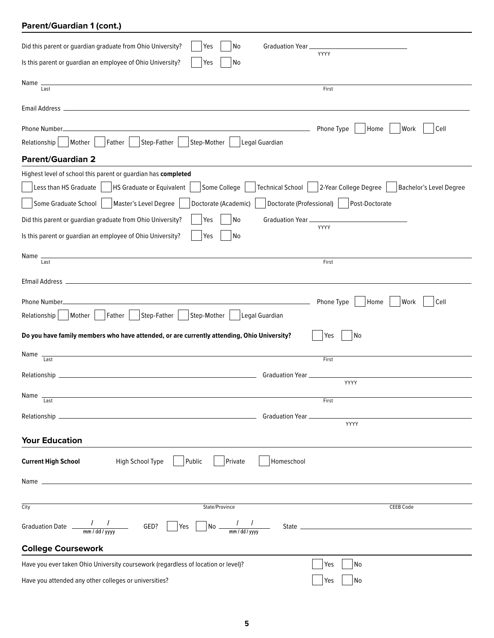## **Parent/Guardian 1 (cont.)**

| Did this parent or guardian graduate from Ohio University?<br>Graduation Year.<br>Yes<br>No                                                                                                                                                                                                                                                                                                      |                                                                                                                         |
|--------------------------------------------------------------------------------------------------------------------------------------------------------------------------------------------------------------------------------------------------------------------------------------------------------------------------------------------------------------------------------------------------|-------------------------------------------------------------------------------------------------------------------------|
| Is this parent or guardian an employee of Ohio University?<br>No<br>Yes                                                                                                                                                                                                                                                                                                                          | YYYY                                                                                                                    |
| Name<br>Last                                                                                                                                                                                                                                                                                                                                                                                     | First                                                                                                                   |
|                                                                                                                                                                                                                                                                                                                                                                                                  |                                                                                                                         |
| Phone Number_<br>Step-Father<br>Step-Mother<br>Father<br>Legal Guardian<br>Relationship<br>Mother                                                                                                                                                                                                                                                                                                | Phone Type<br>Home<br>Work<br>Cell                                                                                      |
| <b>Parent/Guardian 2</b>                                                                                                                                                                                                                                                                                                                                                                         |                                                                                                                         |
| Highest level of school this parent or guardian has completed<br><b>HS Graduate or Equivalent</b><br>Some College<br>Less than HS Graduate<br>Some Graduate School<br>Master's Level Degree<br>Doctorate (Academic)<br>Did this parent or guardian graduate from Ohio University?<br>Yes<br> No<br>Graduation Year __<br>Is this parent or guardian an employee of Ohio University?<br>No<br>Yes | Technical School   2-Year College Degree   Bachelor's Level Degree<br>Doctorate (Professional)   Post-Doctorate<br>YYYY |
| Name<br>Last                                                                                                                                                                                                                                                                                                                                                                                     | First                                                                                                                   |
|                                                                                                                                                                                                                                                                                                                                                                                                  |                                                                                                                         |
| Phone Number.<br>Step-Father<br>Step-Mother<br>Father<br>Legal Guardian<br>Relationship<br>Mother                                                                                                                                                                                                                                                                                                | Phone Type<br>Home<br>Work<br>Cell                                                                                      |
| Do you have family members who have attended, or are currently attending, Ohio University?                                                                                                                                                                                                                                                                                                       | No<br>Yes                                                                                                               |
| <u> 1989 - Johann Stoff, deutscher Stoff, der Stoff, der Stoff, der Stoff, der Stoff, der Stoff, der Stoff, der S</u><br>Name<br>Last                                                                                                                                                                                                                                                            | First                                                                                                                   |
| Relationship _<br>Graduation Year _                                                                                                                                                                                                                                                                                                                                                              |                                                                                                                         |
| Name $\frac{1}{\text{Last}}$                                                                                                                                                                                                                                                                                                                                                                     | YYYY                                                                                                                    |
|                                                                                                                                                                                                                                                                                                                                                                                                  | First                                                                                                                   |
|                                                                                                                                                                                                                                                                                                                                                                                                  | YYYY                                                                                                                    |
| <b>Your Education</b>                                                                                                                                                                                                                                                                                                                                                                            |                                                                                                                         |
| Homeschool<br>High School Type<br>Public<br>Private<br><b>Current High School</b>                                                                                                                                                                                                                                                                                                                |                                                                                                                         |
| Name $-$                                                                                                                                                                                                                                                                                                                                                                                         |                                                                                                                         |
| City<br>State/Province                                                                                                                                                                                                                                                                                                                                                                           | <b>CEEB Code</b>                                                                                                        |
| Graduation Date $\frac{1}{\text{mm}/\text{dd}/\text{yyy}}$ GED? $\boxed{\ }$ Yes $\boxed{\ }$ No $\frac{1}{\text{mm}/\text{dd}/\text{yyy}}$ State $\boxed{\ }$                                                                                                                                                                                                                                   |                                                                                                                         |
| <b>College Coursework</b>                                                                                                                                                                                                                                                                                                                                                                        |                                                                                                                         |
| Have you ever taken Ohio University coursework (regardless of location or level)?                                                                                                                                                                                                                                                                                                                | Yes<br>No                                                                                                               |
| Have you attended any other colleges or universities?                                                                                                                                                                                                                                                                                                                                            | Yes<br> No                                                                                                              |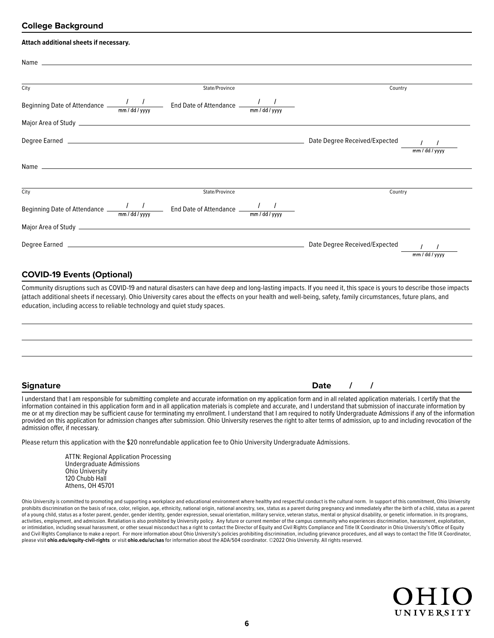### **College Background**

| Attach additional sheets if necessary.                                                        |                |         |                |
|-----------------------------------------------------------------------------------------------|----------------|---------|----------------|
|                                                                                               |                |         |                |
| City                                                                                          | State/Province | Country |                |
| Beginning Date of Attendance $\frac{1}{2}$ and Date of Attendance $\frac{1}{2}$               |                |         |                |
|                                                                                               |                |         |                |
|                                                                                               |                |         |                |
|                                                                                               |                |         |                |
| City                                                                                          | State/Province | Country |                |
| Beginning Date of Attendance $\frac{1}{2}$ $\frac{1}{2}$ End Date of Attendance $\frac{1}{2}$ |                |         |                |
|                                                                                               |                |         |                |
|                                                                                               |                |         | mm / dd / yyyy |

### **COVID-19 Events (Optional)**

Community disruptions such as COVID-19 and natural disasters can have deep and long-lasting impacts. If you need it, this space is yours to describe those impacts (attach additional sheets if necessary). Ohio University cares about the effects on your health and well-being, safety, family circumstances, future plans, and education, including access to reliable technology and quiet study spaces.

**Signature Date / /**

I understand that I am responsible for submitting complete and accurate information on my application form and in all related application materials. I certify that the information contained in this application form and in all application materials is complete and accurate, and I understand that submission of inaccurate information by me or at my direction may be sufficient cause for terminating my enrollment. I understand that I am required to notify Undergraduate Admissions if any of the information provided on this application for admission changes after submission. Ohio University reserves the right to alter terms of admission, up to and including revocation of the admission offer, if necessary.

Please return this application with the \$20 nonrefundable application fee to Ohio University Undergraduate Admissions.

ATTN: Regional Application Processing Undergraduate Admissions Ohio University 120 Chubb Hall Athens, OH 45701

Ohio University is committed to promoting and supporting a workplace and educational environment where healthy and respectful conduct is the cultural norm. In support of this commitment, Ohio University prohibits discrimination on the basis of race, color, religion, age, ethnicity, national origin, national ancestry, sex, status as a parent during pregnancy and immediately after the birth of a child, status as a parent of a young child, status as a foster parent, gender, gender identity, gender expression, sexual orientation, military service, veteran status, mental or physical disability, or genetic information. in its programs, activities, employment, and admission. Retaliation is also prohibited by University policy. Any future or current member of the campus community who experiences discrimination, harassment, exploitation, or intimidation, including sexual harassment, or other sexual misconduct has a right to contact the Director of Equity and Civil Rights Compliance and Title IX Coordinator in Ohio University's Office of Equity and Civil Rights Compliance to make a report. For more information about Ohio University's policies prohibiting discrimination, including grievance procedures, and all ways to contact the Title IX Coordinator, please visit **<ohio.edu/equity-civil-rights>** or visit **<ohio.edu/uc/sas>** for information about the ADA/504 coordinator. ©2022 Ohio University. All rights reserved.

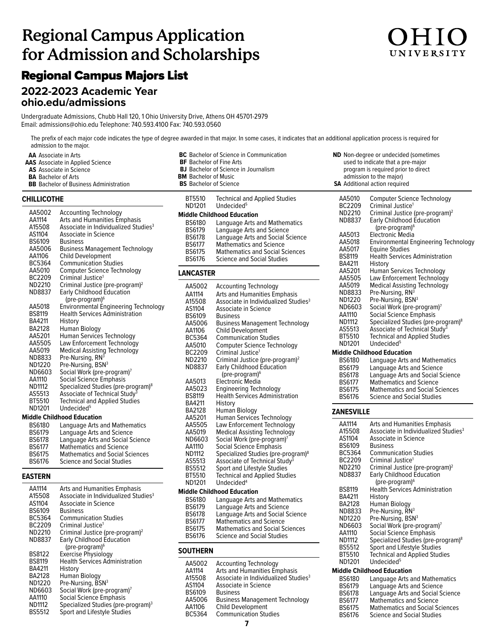# **Regional Campus Application for Admission and Scholarships**

## Regional Campus Majors List

### **2022-2023 Academic Year <ohio.edu/admissions>**

Undergraduate Admissions, Chubb Hall 120, 1 Ohio University Drive, Athens OH 45701-2979 Email: admissions@ohio.edu Telephone: 740.593.4100 Fax: 740.593.0560

The prefix of each major code indicates the type of degree awarded in that major. In some cases, it indicates that an additional application process is required for admission to the major.

- **AA** Associate in Arts
- **AAS** Associate in Applied Science
- **AS** Associate in Science
- **BA** Bachelor of Arts
- **BB** Bachelor of Business Administration

### **CHILLICOTHE**

| AA5002<br>AA1114<br>A15508<br>AS1104<br>BS6109<br>AA5006<br>AA1106<br>BC5364<br>AA5010<br>BC2209 | Accounting Technology<br>Arts and Humanities Emphasis<br>Associate in Individualized Studies <sup>3</sup><br>Associate in Science<br><b>Business</b><br><b>Business Management Technology</b><br><b>Child Development</b><br><b>Communication Studies</b><br>Computer Science Technology<br>Criminal Justice <sup>1</sup> |
|--------------------------------------------------------------------------------------------------|---------------------------------------------------------------------------------------------------------------------------------------------------------------------------------------------------------------------------------------------------------------------------------------------------------------------------|
| ND2210                                                                                           | Criminal Justice (pre-program) <sup>2</sup>                                                                                                                                                                                                                                                                               |
| ND8837                                                                                           | <b>Early Childhood Education</b><br>(pre-program) <sup>6</sup>                                                                                                                                                                                                                                                            |
| AA5018                                                                                           | <b>Environmental Engineering Technology</b>                                                                                                                                                                                                                                                                               |
| BS8119                                                                                           | <b>Health Services Administration</b>                                                                                                                                                                                                                                                                                     |
| BA4211                                                                                           | History                                                                                                                                                                                                                                                                                                                   |
| BA2128                                                                                           | Human Biology                                                                                                                                                                                                                                                                                                             |
| AA5201                                                                                           | Human Services Technology                                                                                                                                                                                                                                                                                                 |
| AA5505                                                                                           | Law Enforcement Technology                                                                                                                                                                                                                                                                                                |
| AA5019                                                                                           | <b>Medical Assisting Technology</b>                                                                                                                                                                                                                                                                                       |
| ND8833                                                                                           | Pre-Nursing, RN <sup>3</sup>                                                                                                                                                                                                                                                                                              |
| ND1220                                                                                           | Pre-Nursing, BSN <sup>3</sup>                                                                                                                                                                                                                                                                                             |
| ND6603                                                                                           | Social Work (pre-program) <sup>7</sup>                                                                                                                                                                                                                                                                                    |
| AA1110                                                                                           | <b>Social Science Emphasis</b>                                                                                                                                                                                                                                                                                            |
| ND1112                                                                                           | Specialized Studies (pre-program) <sup>8</sup>                                                                                                                                                                                                                                                                            |
| AS5513                                                                                           | Associate of Technical Study <sup>3</sup>                                                                                                                                                                                                                                                                                 |
| BT5510                                                                                           | <b>Technical and Applied Studies</b>                                                                                                                                                                                                                                                                                      |
| ND1201                                                                                           | Undecided <sup>5</sup>                                                                                                                                                                                                                                                                                                    |
|                                                                                                  | Middle Childhood Education                                                                                                                                                                                                                                                                                                |
| <b>DCG10N</b>                                                                                    | Languago Arte and Mathomatics                                                                                                                                                                                                                                                                                             |

| <b>BS6180</b> | Language Arts and Mathematics          |
|---------------|----------------------------------------|
| <b>BS6179</b> | Language Arts and Science              |
| <b>BS6178</b> | Language Arts and Social Science       |
| <b>BS6177</b> | <b>Mathematics and Science</b>         |
| <b>BS6175</b> | <b>Mathematics and Social Sciences</b> |
| <b>BS6176</b> | <b>Science and Social Studies</b>      |
|               |                                        |

### **EASTERN**

| AA1114<br>A15508<br>AS1104<br><b>BS6109</b><br><b>BC5364</b><br>BC2209<br>ND2210 | Arts and Humanities Emphasis<br>Associate in Individualized Studies <sup>3</sup><br>Associate in Science<br><b>Business</b><br><b>Communication Studies</b><br>Criminal Justice <sup>1</sup><br>Criminal Justice (pre-program) <sup>2</sup> |
|----------------------------------------------------------------------------------|---------------------------------------------------------------------------------------------------------------------------------------------------------------------------------------------------------------------------------------------|
| ND8837                                                                           | <b>Early Childhood Education</b>                                                                                                                                                                                                            |
|                                                                                  | (pre-program) <sup>6</sup>                                                                                                                                                                                                                  |
| <b>BS8122</b>                                                                    | <b>Exercise Physiology</b>                                                                                                                                                                                                                  |
| <b>BS8119</b>                                                                    | <b>Health Services Administration</b>                                                                                                                                                                                                       |
| BA4211                                                                           | History                                                                                                                                                                                                                                     |
| BA2128                                                                           | Human Biology                                                                                                                                                                                                                               |
| ND1220                                                                           | Pre-Nursing, BSN <sup>3</sup>                                                                                                                                                                                                               |
| ND6603                                                                           | Social Work (pre-program)7                                                                                                                                                                                                                  |
| AA1110                                                                           | Social Science Emphasis                                                                                                                                                                                                                     |
| <b>ND1112</b>                                                                    | Specialized Studies (pre-program) <sup>3</sup>                                                                                                                                                                                              |
| <b>BS5512</b>                                                                    | Sport and Lifestyle Studies                                                                                                                                                                                                                 |

| <b>BF</b> Bachelor of Fine Arts<br><b>BM</b> Bachelor of Music<br><b>BS</b> Bachelor of Science                                                                                                                                                                                                     | <b>BC</b> Bachelor of Science in Communication<br><b>BJ</b> Bachelor of Science in Journalism                                                                                                                                                                                                                                                                                                                                                                                                                                                                                                                                                                                                                                                                                                                                                                                                                                   |
|-----------------------------------------------------------------------------------------------------------------------------------------------------------------------------------------------------------------------------------------------------------------------------------------------------|---------------------------------------------------------------------------------------------------------------------------------------------------------------------------------------------------------------------------------------------------------------------------------------------------------------------------------------------------------------------------------------------------------------------------------------------------------------------------------------------------------------------------------------------------------------------------------------------------------------------------------------------------------------------------------------------------------------------------------------------------------------------------------------------------------------------------------------------------------------------------------------------------------------------------------|
| BT5510<br>ND1201                                                                                                                                                                                                                                                                                    | <b>Technical and Applied Studies</b><br>Undecided <sup>5</sup><br><b>Middle Childhood Education</b>                                                                                                                                                                                                                                                                                                                                                                                                                                                                                                                                                                                                                                                                                                                                                                                                                             |
| BS6180<br><b>BS6179</b><br><b>BS6178</b><br><b>BS6177</b><br><b>BS6175</b><br><b>BS6176</b>                                                                                                                                                                                                         | Language Arts and Mathematics<br>Language Arts and Science<br>Language Arts and Social Science<br><b>Mathematics and Science</b><br><b>Mathematics and Social Sciences</b><br><b>Science and Social Studies</b>                                                                                                                                                                                                                                                                                                                                                                                                                                                                                                                                                                                                                                                                                                                 |
| <b>LANCASTER</b>                                                                                                                                                                                                                                                                                    |                                                                                                                                                                                                                                                                                                                                                                                                                                                                                                                                                                                                                                                                                                                                                                                                                                                                                                                                 |
| AA5002<br>AA1114<br>A15508<br>AS1104<br><b>BS6109</b><br>AA5006<br>AA1106<br>BC5364<br>AA5010<br>BC2209<br>ND2210<br>ND8837<br>AA5013<br>AA5023<br><b>BS8119</b><br>BA4211<br><b>BA2128</b><br>AA5201<br>AA5505<br>AA5019<br>ND6603<br>AA1110<br><b>ND1112</b><br>AS5513<br><b>BS5512</b><br>BT5510 | Accounting Technology<br>Arts and Humanities Emphasis<br>Associate in Individualized Studies <sup>3</sup><br><b>Associate in Science</b><br><b>Business</b><br><b>Business Management Technology</b><br><b>Child Development</b><br><b>Communication Studies</b><br><b>Computer Science Technology</b><br>Criminal Justice <sup>1</sup><br>Criminal Justice (pre-program) <sup>2</sup><br>Early Childhood Education<br>(pre-program) <sup>6</sup><br>Electronic Media<br><b>Engineering Technology</b><br><b>Health Services Administration</b><br>History<br>Human Biology<br><b>Human Services Technology</b><br>Law Enforcement Technology<br><b>Medical Assisting Technology</b><br>Social Work (pre-program) <sup>7</sup><br>Social Science Emphasis<br>Specialized Studies (pre-program) <sup>8</sup><br>Associate of Technical Study <sup>3</sup><br>Sport and Lifestyle Studies<br><b>Technical and Applied Studies</b> |

### **Middle Childhood Education**

| <b>BS6180</b> | Language Arts and Mathematics          |
|---------------|----------------------------------------|
| <b>BS6179</b> | Language Arts and Science              |
| <b>BS6178</b> | Language Arts and Social Science       |
| <b>BS6177</b> | <b>Mathematics and Science</b>         |
| <b>BS6175</b> | <b>Mathematics and Social Sciences</b> |
| <b>BS6176</b> | <b>Science and Social Studies</b>      |
|               |                                        |

### **SOUTHERN**

| AA5002<br>AA1114<br>A15508<br>AS1104<br><b>BS6109</b><br>AA5006 | <b>Accounting Technology</b><br>Arts and Humanities Emphasis<br>Associate in Individualized Studies <sup>3</sup><br>Associate in Science<br><b>Business</b><br><b>Business Management Technology</b> |
|-----------------------------------------------------------------|------------------------------------------------------------------------------------------------------------------------------------------------------------------------------------------------------|
| AA1106                                                          | <b>Child Development</b>                                                                                                                                                                             |
| BC5364                                                          | <b>Communication Studies</b>                                                                                                                                                                         |
|                                                                 |                                                                                                                                                                                                      |

| <b>ND</b> Non-degree or undecided (sometimes<br>used to indicate that a pre-major<br>program is required prior to direct<br>admission to the major)<br><b>SA</b> Additional action required |                                                                         |  |
|---------------------------------------------------------------------------------------------------------------------------------------------------------------------------------------------|-------------------------------------------------------------------------|--|
| AA5010                                                                                                                                                                                      | Computer Science Technology                                             |  |
| BC2209                                                                                                                                                                                      | Criminal Justice <sup>1</sup>                                           |  |
| ND2210                                                                                                                                                                                      | Criminal Justice (pre-program) <sup>2</sup>                             |  |
| ND8837                                                                                                                                                                                      | <b>Early Childhood Education</b><br>(pre-program) <sup>6</sup>          |  |
| AA5013                                                                                                                                                                                      | Electronic Media                                                        |  |
| AA5018                                                                                                                                                                                      | <b>Environmental Engineering Technology</b>                             |  |
| AA5017                                                                                                                                                                                      | <b>Equine Studies</b>                                                   |  |
| <b>BS8119</b>                                                                                                                                                                               | <b>Health Services Administration</b>                                   |  |
| BA4211                                                                                                                                                                                      | History                                                                 |  |
| AA5201                                                                                                                                                                                      | Human Services Technology                                               |  |
| AA5505                                                                                                                                                                                      | Law Enforcement Technology                                              |  |
| AA5019                                                                                                                                                                                      | <b>Medical Assisting Technology</b>                                     |  |
| ND8833                                                                                                                                                                                      | Pre-Nursing, RN <sup>3</sup>                                            |  |
| ND1220<br>ND6603                                                                                                                                                                            | Pre-Nursing, BSN <sup>3</sup><br>Social Work (pre-program) <sup>7</sup> |  |
| AA1110                                                                                                                                                                                      | <b>Social Science Emphasis</b>                                          |  |
| <b>ND1112</b>                                                                                                                                                                               | Specialized Studies (pre-program) <sup>8</sup>                          |  |
| AS5513                                                                                                                                                                                      | Associate of Technical Study <sup>3</sup>                               |  |
| BT5510                                                                                                                                                                                      | <b>Technical and Applied Studies</b>                                    |  |
| ND1201                                                                                                                                                                                      | Undecided <sup>5</sup>                                                  |  |
|                                                                                                                                                                                             | <b>Middle Childhood Education</b>                                       |  |
| BS6180                                                                                                                                                                                      | Language Arts and Mathematics                                           |  |
| <b>BS6179</b>                                                                                                                                                                               | Language Arts and Science                                               |  |
| <b>BS6178</b>                                                                                                                                                                               | Language Arts and Social Science                                        |  |
| BS6177                                                                                                                                                                                      | <b>Mathematics and Science</b>                                          |  |
| <b>BS6175</b>                                                                                                                                                                               | <b>Mathematics and Social Sciences</b>                                  |  |
| <b>BS6176</b>                                                                                                                                                                               | <b>Science and Social Studies</b>                                       |  |
| <b>ZANESVILLE</b>                                                                                                                                                                           |                                                                         |  |
| AA1114                                                                                                                                                                                      | <b>Arts and Humanities Emphasis</b>                                     |  |
| A15508                                                                                                                                                                                      | Associate in Individualized Studies <sup>3</sup>                        |  |
| AS1104                                                                                                                                                                                      | Associate in Science                                                    |  |
| <b>BS6109</b>                                                                                                                                                                               | <b>Business</b>                                                         |  |
| BC5364                                                                                                                                                                                      | <b>Communication Studies</b>                                            |  |
| BC2209                                                                                                                                                                                      | Criminal Justice <sup>1</sup>                                           |  |
| ND2210                                                                                                                                                                                      | Criminal Justice (pre-program) <sup>2</sup>                             |  |
| ND8837                                                                                                                                                                                      | <b>Early Childhood Education</b>                                        |  |

| <b>BS8119</b> | <b>Health Services Administration</b>          |
|---------------|------------------------------------------------|
| BA4211        | History                                        |
| <b>BA2128</b> | Human Biology                                  |
| ND8833        | Pre-Nursing, RN <sup>3</sup>                   |
| ND1220        | Pre-Nursing, BSN <sup>3</sup>                  |
| ND6603        | Social Work (pre-program) <sup>7</sup>         |
| AA1110        | Social Science Emphasis                        |
| ND1112        | Specialized Studies (pre-program) <sup>8</sup> |
| <b>BS5512</b> | Sport and Lifestyle Studies                    |
| BT5510        | <b>Technical and Applied Studies</b>           |
| ND1201        | Undecided <sup>5</sup>                         |
|               | <b>Middle Childhood Education</b>              |
| <b>BS6180</b> | Language Arts and Mathematics                  |
| <b>BS6179</b> | Language Arts and Science                      |
| <b>BS6178</b> | <b>Language Arts and Social Science</b>        |
| <b>BS6177</b> | <b>Mathematics and Science</b>                 |
| <b>BS6175</b> | <b>Mathematics and Social Sciences</b>         |
| <b>BS6176</b> | Science and Social Studies                     |

(pre-program)<br>BS8119 Health Services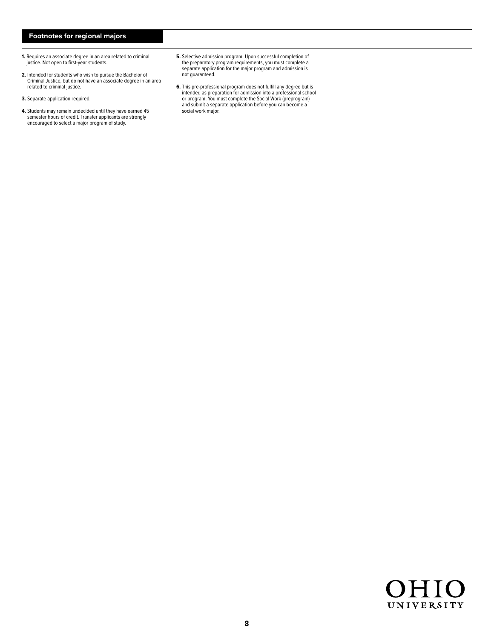### **Footnotes for regional majors**

- **1.** Requires an associate degree in an area related to criminal justice. Not open to first-year students.
- **2.** Intended for students who wish to pursue the Bachelor of Criminal Justice, but do not have an associate degree in an area related to criminal justice.
- **3.** Separate application required.
- **4.** Students may remain undecided until they have earned 45 semester hours of credit. Transfer applicants are strongly encouraged to select a major program of study.
- **5.** Selective admission program. Upon successful completion of the preparatory program requirements, you must complete a separate application for the major program and admission is not guaranteed.
- **6.** This pre-professional program does not fulfill any degree but is intended as preparation for admission into a professional school or program. You must complete the Social Work (preprogram) and submit a separate application before you can become a social work major.

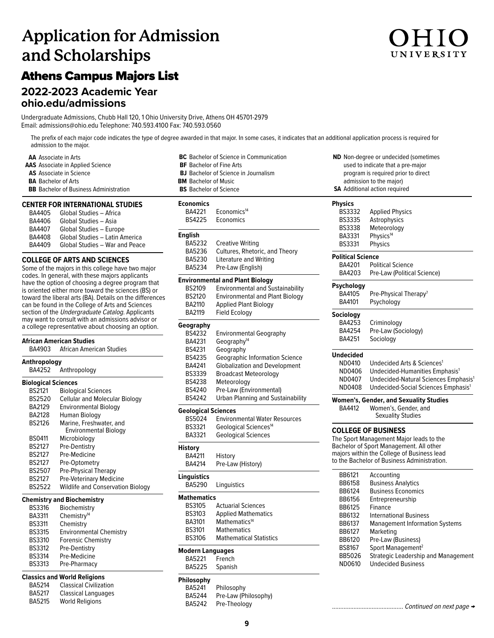# **Application for Admission and Scholarships**

## Athens Campus Majors List

## **2022-2023 Academic Year**

**[ohio.edu/admissions](http://ohio.edu/admissions)**

Undergraduate Admissions, Chubb Hall 120, 1 Ohio University Drive, Athens OH 45701-2979 Email: admissions@ohio.edu Telephone: 740.593.4100 Fax: 740.593.0560

The prefix of each major code indicates the type of degree awarded in that major. In some cases, it indicates that an additional application process is required for admission to the major.

**AA** Associate in Arts **AAS** Associate in Applied Science **AS** Associate in Science **BA** Bachelor of Arts **BB** Bachelor of Business Administration

### **CENTER FOR INTERNATIONAL STUDIES**

| BA4405        | Global Studies - Africa        |
|---------------|--------------------------------|
| BA4406        | Global Studies - Asia          |
| BA4407        | Global Studies - Europe        |
| <b>BA4408</b> | Global Studies - Latin America |
| <b>BA4409</b> | Global Studies - War and Peace |

### **COLLEGE OF ARTS AND SCIENCES**

Some of the majors in this college have two major codes. In general, with these majors applicants have the option of choosing a degree program that is oriented either more toward the sciences (BS) or toward the liberal arts (BA). Details on the differences can be found in the College of Arts and Sciences section of the Undergraduate Catalog. Applicants may want to consult with an admissions advisor or a college representative about choosing an option.

### **African American Studies African American Studies Anthropology** Anthropology **Biological Sciences** BS2121 Biological Sciences BS2520 Cellular and Molecular Biology<br>BA2129 Environmental Biology **Environmental Biology** BA2128 Human Biology BS2126 Marine, Freshwater, and<br>Environmental Biology<br>BS0411 Microbiology Microbiology BS2127 Pre-Dentistry BS2127 Pre-Medicine BS2127 Pre-Optometry BS2507 Pre-Physical Therapy BS2127 Pre-Veterinary Medicine<br>BS2522 Wildlife and Conservatio **Wildlife and Conservation Biology Chemistry and Biochemistry**

| <b>BS3316</b> | Biochemistry                   |
|---------------|--------------------------------|
| BA3311        | Chemistry <sup>14</sup>        |
| <b>BS3311</b> | Chemistry                      |
| <b>BS3315</b> | <b>Environmental Chemistry</b> |
| <b>BS3310</b> | <b>Forensic Chemistry</b>      |
| <b>BS3312</b> | Pre-Dentistry                  |
| <b>BS3314</b> | Pre-Medicine                   |
| <b>BS3313</b> | Pre-Pharmacy                   |
|               |                                |

### **Classics and World Religions**

| <b>BA5214</b> | <b>Classical Civilization</b> |
|---------------|-------------------------------|
| BA5217        | Classical Languages           |
| BA5215        | <b>World Religions</b>        |

| <b>BC</b> Bachelor of Science in Communication |                                             |  |  |
|------------------------------------------------|---------------------------------------------|--|--|
| <b>BF</b> Bachelor of Fine Arts                |                                             |  |  |
|                                                | <b>BJ</b> Bachelor of Science in Journalism |  |  |
| <b>BM</b> Bachelor of Music                    |                                             |  |  |
| <b>BS</b> Bachelor of Science                  |                                             |  |  |
| <b>Economics</b>                               |                                             |  |  |
| BA4221                                         | Economics <sup>14</sup>                     |  |  |
| <b>BS4225</b>                                  | Economics                                   |  |  |
| <b>English</b>                                 |                                             |  |  |
| <b>BA5232</b>                                  | <b>Creative Writing</b>                     |  |  |
| BA5236                                         | Cultures, Rhetoric, and Theory              |  |  |
| <b>BA5230</b>                                  | Literature and Writing                      |  |  |
| BA5234                                         | Pre-Law (English)                           |  |  |
|                                                | <b>Environmental and Plant Biology</b>      |  |  |
| <b>BS2109</b>                                  | <b>Environmental and Sustainability</b>     |  |  |
| <b>BS2120</b>                                  | <b>Environmental and Plant Biology</b>      |  |  |
| BA2110                                         | <b>Applied Plant Biology</b>                |  |  |
| <b>BA2119</b>                                  | <b>Field Ecology</b>                        |  |  |
| Geography                                      |                                             |  |  |
| <b>BS4232</b>                                  | <b>Environmental Geography</b>              |  |  |
| BA4231                                         | Geography <sup>14</sup>                     |  |  |
| BS4231                                         | Geography                                   |  |  |
| <b>BS4235</b>                                  | Geographic Information Science              |  |  |
| BA4241                                         | <b>Globalization and Development</b>        |  |  |
| <b>BS3339</b>                                  | <b>Broadcast Meteorology</b>                |  |  |
| BS4238                                         | Meteorology                                 |  |  |
| <b>BS4240</b>                                  | Pre-Law (Environmental)                     |  |  |
| <b>BS4242</b>                                  | <b>Urban Planning and Sustainability</b>    |  |  |
| <b>Geological Sciences</b>                     |                                             |  |  |
| BS5024                                         | <b>Environmental Water Resources</b>        |  |  |
| <b>BS3321</b>                                  | Geological Sciences <sup>14</sup>           |  |  |
| BA3321                                         | <b>Geological Sciences</b>                  |  |  |
| <b>History</b>                                 |                                             |  |  |
| <b>BA4211</b>                                  | History                                     |  |  |
| BA4214                                         | Pre-Law (History)                           |  |  |
| <b>Linguistics</b>                             |                                             |  |  |

| ıyuısuss |             |
|----------|-------------|
| BA5290   | Linguistics |

### **Mathematics**

| <b>BS3105</b> | <b>Actuarial Sciences</b>      |
|---------------|--------------------------------|
| <b>BS3103</b> | <b>Applied Mathematics</b>     |
| BA3101        | Mathematics <sup>14</sup>      |
| <b>BS3101</b> | <b>Mathematics</b>             |
| <b>BS3106</b> | <b>Mathematical Statistics</b> |
|               |                                |

### **Modern Languages**

BA5221 French<br>BA5225 Spanish Spanish

### **Philosophy**

BA5241 Philosophy BA5244 Pre-Law (Philosophy)<br>BA5242 Pre-Theology Pre-Theology

|                                                                 | program is required prior to direct              |
|-----------------------------------------------------------------|--------------------------------------------------|
| admission to the major)<br><b>SA</b> Additional action required |                                                  |
|                                                                 |                                                  |
| <b>BS3332</b>                                                   | <b>Applied Physics</b>                           |
| <b>BS3335</b>                                                   | Astrophysics                                     |
| <b>BS3338</b>                                                   | Meteorology                                      |
| BA3331                                                          | Physics <sup>14</sup>                            |
| <b>BS3331</b>                                                   | <b>Physics</b>                                   |
| <b>Political Science</b>                                        |                                                  |
| BA4201                                                          | <b>Political Science</b>                         |
| BA4203                                                          | Pre-Law (Political Science)                      |
| Psychology                                                      |                                                  |
| BA4105                                                          | Pre-Physical Therapy <sup>7</sup>                |
| BA4101                                                          | Psychology                                       |
| Sociology                                                       |                                                  |
| BA4253                                                          | Criminology                                      |
| BA4254                                                          | Pre-Law (Sociology)                              |
| BA4251                                                          | Sociology                                        |
| Undecided                                                       |                                                  |
| ND0410                                                          | Undecided Arts & Sciences <sup>1</sup>           |
|                                                                 |                                                  |
| ND0406                                                          | Undecided-Humanities Emphasis <sup>1</sup>       |
| ND0407<br>ND0408                                                | Undecided-Natural Sciences Emphasis <sup>1</sup> |
|                                                                 | Undecided-Social Sciences Emphasis <sup>1</sup>  |
|                                                                 | <b>Women's, Gender, and Sexuality Studies</b>    |
| <b>BA4412</b>                                                   | Women's, Gender, and                             |
|                                                                 | Sexuality Studies                                |
|                                                                 | <b>COLLEGE OF BUSINESS</b>                       |
|                                                                 | The Sport Management Major leads to the          |
|                                                                 | Bachelor of Sport Management. All other          |
|                                                                 | majors within the College of Business lead       |
|                                                                 | to the Bachelor of Business Administration.      |
| <b>BB6121</b>                                                   | Accounting                                       |
| <b>BB6158</b>                                                   | <b>Business Analytics</b>                        |
| BB6124                                                          | <b>Business Economics</b>                        |
| <b>BB6156</b>                                                   | Entrepreneurship                                 |
| <b>BB6125</b>                                                   | Finance                                          |
| <b>BB6132</b>                                                   | <b>International Business</b>                    |
| BB6137                                                          | <b>Management Information Systems</b>            |
| <b>BB6127</b>                                                   | Marketing                                        |
| <b>BB6120</b>                                                   | Pre-Law (Business)                               |
| BS8167                                                          | Sport Management <sup>2</sup>                    |
| RR5026                                                          | Strategic Leadershin and Management              |

**ND** Non-degree or undecided (sometimes used to indicate that a pre-major

BB5020 Strategic Leadership and Management **Undecided Business** 

........................................... Continued on next page →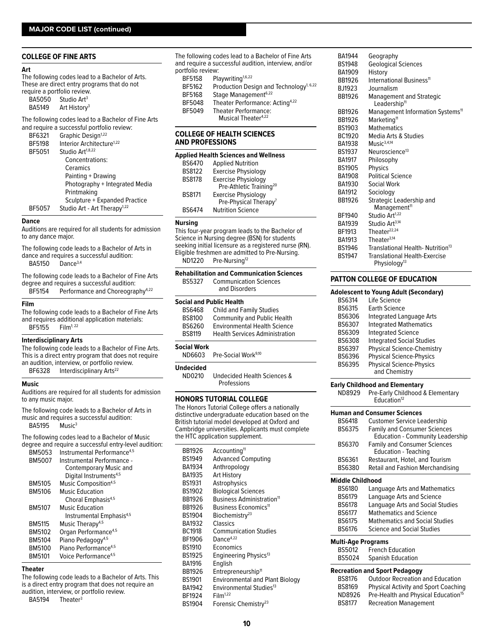### **COLLEGE OF FINE ARTS**

### **Art**

The following codes lead to a Bachelor of Arts. These are direct entry programs that do not require a portfolio review.

| <b>BA5050</b> | Studio Art <sup>3</sup>  |
|---------------|--------------------------|
| BA5149        | Art History <sup>3</sup> |

The following codes lead to a Bachelor of Fine Arts and require a successful portfolio review:

|               | and require a succession portions review. |
|---------------|-------------------------------------------|
| BF6321        | Graphic Design <sup>1,22</sup>            |
| BF5198        | Interior Architecture <sup>1,22</sup>     |
| BF5051        | Studio Art <sup>1,8,22</sup>              |
|               | Concentrations:                           |
|               | Ceramics                                  |
|               | Painting + Drawing                        |
|               | Photography + Integrated Media            |
|               | Printmaking                               |
|               | Sculpture + Expanded Practice             |
| <b>BF5057</b> | Studio Art - Art Therapy <sup>1,22</sup>  |
|               |                                           |

#### **Dance**

Auditions are required for all students for admission to any dance major.

The following code leads to a Bachelor of Arts in dance and requires a successful audition: BA5150 Dance3,4

The following code leads to a Bachelor of Fine Arts degree and requires a successful audition: Performance and Choreography<sup>4,22</sup>

### **Film**

The following code leads to a Bachelor of Fine Arts and requires additional application materials:<br>BF5155  $\cdot$  Film<sup>1:22</sup> **BF5155** 

### **Interdisciplinary Arts**

The following code leads to a Bachelor of Fine Arts. This is a direct entry program that does not require an audition, interview, or portfolio review.

BF6328 Interdisciplinary Arts<sup>22</sup>

### **Music**

Auditions are required for all students for admission to any music major.

The following code leads to a Bachelor of Arts in music and requires a successful audition: BA5195 Music<sup>3</sup>

The following codes lead to a Bachelor of Music degree and require a successful entry-level audition:

| BM5053        | Instrumental Performance <sup>4,5</sup> |
|---------------|-----------------------------------------|
| <b>BM5007</b> | Instrumental Performance -              |
|               | Contemporary Music and                  |
|               | Digital Instruments <sup>4,5</sup>      |
| BM5105        | Music Composition <sup>4,5</sup>        |
| BM5106        | <b>Music Education</b>                  |
|               | Choral Emphasis <sup>4,5</sup>          |
| <b>BM5107</b> | <b>Music Education</b>                  |
|               | Instrumental Emphasis <sup>4,5</sup>    |
| <b>BM5115</b> | Music Therapy <sup>4,5</sup>            |
| BM5102        | Organ Performance <sup>4,5</sup>        |
| BM5104        | Piano Pedagogy <sup>4,5</sup>           |
| BM5100        | Piano Performance <sup>4,5</sup>        |
| <b>BM5101</b> | Voice Performance <sup>4,5</sup>        |
|               |                                         |

### **Theater**

The following code leads to a Bachelor of Arts. This is a direct entry program that does not require an audition, interview, or portfolio review.

BA5194 Theater<sup>3</sup>

The following codes lead to a Bachelor of Fine Arts and require a successful audition, interview, and/or portfolio review:<br>BF5158 Pla Playwriting<sup>1,6,22</sup> BF5162 Production Design and Technology<sup>1, 6,22</sup> BF5168 Stage Management<sup>6,22</sup><br>BF5048 Theater Performance: Theater Performance: Acting<sup>4,22</sup> BF5049 Theater Performance: Musical Theater<sup>4,22</sup>

### **COLLEGE OF HEALTH SCIENCES AND PROFESSIONS**

| <b>Applied Health Sciences and Wellness</b> |                                     |  |
|---------------------------------------------|-------------------------------------|--|
| <b>BS6470</b>                               | <b>Applied Nutrition</b>            |  |
| <b>BS8122</b>                               | <b>Exercise Physiology</b>          |  |
| <b>BS8178</b>                               | <b>Exercise Physiology</b>          |  |
|                                             | Pre-Athletic Training <sup>20</sup> |  |
| <b>BS8171</b>                               | <b>Exercise Physiology</b>          |  |
|                                             | Pre-Physical Therapy <sup>7</sup>   |  |
| <b>BS6474</b>                               | <b>Nutrition Science</b>            |  |

### **Nursing**

This four-year program leads to the Bachelor of Science in Nursing degree (BSN) for students seeking initial licensure as a registered nurse (RN). Eligible freshmen are admitted to Pre-Nursing. ND1220 Pre-Nursing<sup>12</sup>

| BS5327                          | <b>Rehabilitation and Communication Sciences</b><br><b>Communication Sciences</b><br>and Disorders |
|---------------------------------|----------------------------------------------------------------------------------------------------|
| <b>Social and Public Health</b> |                                                                                                    |
| <b>BS6468</b>                   | Child and Family Studies                                                                           |
| <b>BS8100</b>                   | <b>Community and Public Health</b>                                                                 |
| BS6260                          | <b>Environmental Health Science</b>                                                                |
| <b>BS8119</b>                   | <b>Health Services Administration</b>                                                              |
| <b>Social Work</b>              |                                                                                                    |
| ND6603                          | Pre-Social Work <sup>9,10</sup>                                                                    |
| 11. 1                           |                                                                                                    |

**Undecided**

ND0210 Undecided Health Sciences & Professions

### **HONORS TUTORIAL COLLEGE**

The Honors Tutorial College offers a nationally distinctive undergraduate education based on the British tutorial model developed at Oxford and Cambridge universities. Applicants must complete the HTC application supplement.

| BB1926        | Accounting <sup>11</sup>               |
|---------------|----------------------------------------|
| <b>BS1949</b> | <b>Advanced Computing</b>              |
| BA1934        | Anthropology                           |
| BA1935        | <b>Art History</b>                     |
| <b>BS1931</b> | Astrophysics                           |
| <b>BS1902</b> | <b>Biological Sciences</b>             |
| BB1926        | Business Administration <sup>11</sup>  |
| BB1926        | Business Economics <sup>11</sup>       |
| <b>BS1904</b> | Biochemistry <sup>23</sup>             |
| BA1932        | Classics                               |
| <b>BC1918</b> | <b>Communication Studies</b>           |
| BF1906        | Dance <sup>4,22</sup>                  |
| <b>BS1910</b> | Economics                              |
| <b>BS1925</b> | Engineering Physics <sup>13</sup>      |
| BA1916        | English                                |
| BB1926        | Entrepreneurship <sup>11</sup>         |
| <b>BS1901</b> | <b>Environmental and Plant Biology</b> |
| BA1942        | Environmental Studies <sup>13</sup>    |
| BF1924        | Film <sup>1,22</sup>                   |
| <b>BS1904</b> | Forensic Chemistry <sup>23</sup>       |
|               |                                        |

| <b>BA1944</b> | Geography                                                   |
|---------------|-------------------------------------------------------------|
| <b>BS1948</b> | <b>Geological Sciences</b>                                  |
| BA1909        | History                                                     |
| BB1926        | International Business <sup>11</sup>                        |
| BJ1923        | Journalism                                                  |
| BB1926        | <b>Management and Strategic</b><br>Leadership <sup>11</sup> |
| BB1926        | Management Information Systems <sup>11</sup>                |
| BB1926        | Marketing <sup>11</sup>                                     |
| <b>BS1903</b> | <b>Mathematics</b>                                          |
| BC1920        | Media Arts & Studies                                        |
| BA1938        | $M$ usic <sup>3,4,14</sup>                                  |
| <b>BS1937</b> | Neuroscience <sup>13</sup>                                  |
| BA1917        | Philosophy                                                  |
| <b>BS1905</b> | <b>Physics</b>                                              |
| <b>BA1908</b> | <b>Political Science</b>                                    |
| BA1930        | Social Work                                                 |
| <b>BA1912</b> | Sociology                                                   |
| BB1926        | Strategic Leadership and<br>Management <sup>11</sup>        |
| BF1940        | Studio Art <sup>1,22</sup>                                  |
| BA1939        | Studio Art <sup>3,14</sup>                                  |
| BF1913        | Theater <sup>22,24</sup>                                    |
| <b>BA1913</b> | Theater $3,14$                                              |
| <b>BS1946</b> | Translational Health-Nutrition <sup>13</sup>                |
| <b>BS1947</b> | <b>Translational Health-Exercise</b>                        |
|               | Physiology <sup>13</sup>                                    |
|               |                                                             |

### **PATTON COLLEGE OF EDUCATION**

### **Adolescent to Young Adult (Secondary)**

|               | 19.44                             |
|---------------|-----------------------------------|
| <b>BS6314</b> | I ife Science                     |
| <b>BS6315</b> | Earth Science                     |
| BS6306        | Integrated Language Arts          |
| BS6307        | <b>Integrated Mathematics</b>     |
| BS6309        | <b>Integrated Science</b>         |
| <b>BS6308</b> | <b>Integrated Social Studies</b>  |
| BS6397        | <b>Physical Science-Chemistry</b> |
| BS6396        | <b>Physical Science-Physics</b>   |
| <b>BS6395</b> | <b>Physical Science-Physics</b>   |
|               | and Chemistry                     |

### **Early Childhood and Elementary**

ND8929 Pre-Early Childhood & Elementary Education<sup>12</sup>

|                               | Human and Consumer Sciences                                                    |  |
|-------------------------------|--------------------------------------------------------------------------------|--|
| <b>BS6418</b>                 | <b>Customer Service Leadership</b>                                             |  |
| BS6375                        | <b>Family and Consumer Sciences</b><br><b>Education - Community Leadership</b> |  |
| BS6370                        | <b>Family and Consumer Sciences</b><br><b>Education - Teaching</b>             |  |
| <b>BS6361</b>                 | Restaurant, Hotel, and Tourism                                                 |  |
| BS6380                        | Retail and Fashion Merchandising                                               |  |
| Middle Childhood              |                                                                                |  |
| <b>BS6180</b>                 | Language Arts and Mathematics                                                  |  |
| <b>BS6179</b>                 | Language Arts and Science                                                      |  |
| <b>BS6178</b>                 | Language Arts and Social Studies                                               |  |
| <b>BS6177</b>                 | <b>Mathematics and Science</b>                                                 |  |
| <b>BS6175</b>                 | <b>Mathematics and Social Studies</b>                                          |  |
| <b>BS6176</b>                 | Science and Social Studies                                                     |  |
| Multi-Age Programs            |                                                                                |  |
| BS5012                        | <b>French Education</b>                                                        |  |
| <b>BS5024</b>                 | <b>Spanish Education</b>                                                       |  |
| Recreation and Sport Pedagogy |                                                                                |  |
| <b>RS8176</b>                 | Outdoor Pecreation and Education                                               |  |

| BS8176 | <b>Outdoor Recreation and Education</b>         |
|--------|-------------------------------------------------|
| BS8169 | <b>Physical Activity and Sport Coaching</b>     |
| ND8926 | Pre-Health and Physical Education <sup>15</sup> |
| BS8177 | <b>Recreation Management</b>                    |